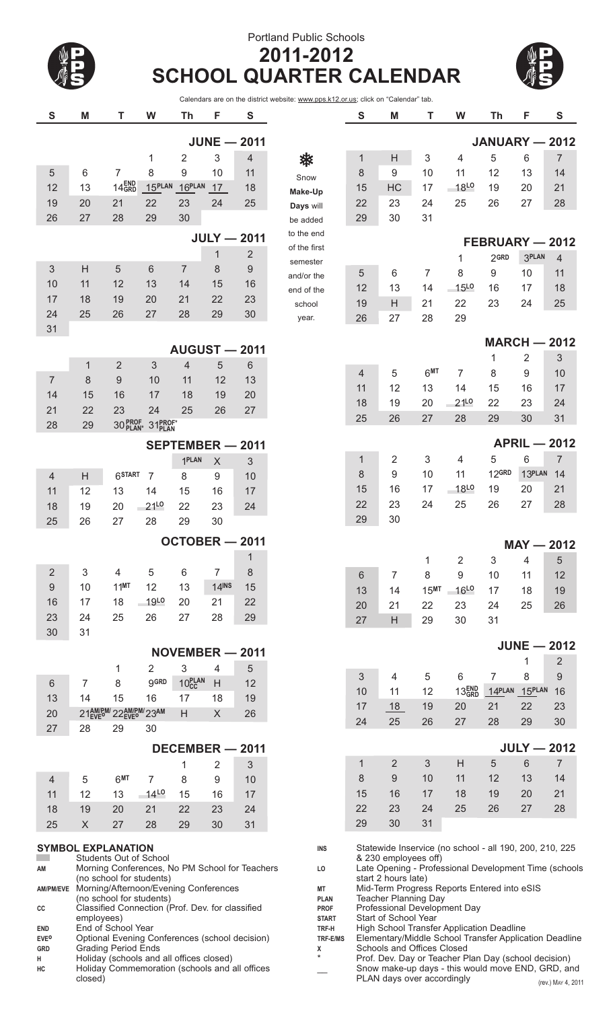## Portland Public Schools **2011-2012 SCHOOL QUARTER CALENDAR**



Calendars are on the district website: www.pps.k12.or.us; click on "Calendar" tab.

| S                                   | M                                                                                                                                                                                                                                                                                              | T                                              | W                              | Th                   | F                                                                             | ${\bf S}$          |                                                                                                                                                                                                                                                                                                                                             | S                                                                                    | M                                                                               | Т                | W                   | Th                  | F             | ${\mathsf S}$       |
|-------------------------------------|------------------------------------------------------------------------------------------------------------------------------------------------------------------------------------------------------------------------------------------------------------------------------------------------|------------------------------------------------|--------------------------------|----------------------|-------------------------------------------------------------------------------|--------------------|---------------------------------------------------------------------------------------------------------------------------------------------------------------------------------------------------------------------------------------------------------------------------------------------------------------------------------------------|--------------------------------------------------------------------------------------|---------------------------------------------------------------------------------|------------------|---------------------|---------------------|---------------|---------------------|
|                                     |                                                                                                                                                                                                                                                                                                |                                                |                                |                      |                                                                               | $JUNE - 2011$      |                                                                                                                                                                                                                                                                                                                                             |                                                                                      |                                                                                 |                  |                     | JANUARY - 2012      |               |                     |
|                                     |                                                                                                                                                                                                                                                                                                |                                                | 1                              | $\overline{2}$       | 3                                                                             | 4                  | ₩                                                                                                                                                                                                                                                                                                                                           | 1                                                                                    | H                                                                               | 3                | 4                   | 5                   | 6             | $\overline{7}$      |
| 5                                   | 6                                                                                                                                                                                                                                                                                              | $\overline{7}$                                 | 8                              | 9                    | 10                                                                            | 11                 | Snow                                                                                                                                                                                                                                                                                                                                        | 8                                                                                    | $9\,$                                                                           | 10               | 11                  | 12                  | 13            | 14                  |
| 12                                  | 13                                                                                                                                                                                                                                                                                             | 14 <sub>GRD</sub>                              | 15PLAN                         | $16$ <sup>PLAN</sup> | 17                                                                            | 18                 | Make-Up                                                                                                                                                                                                                                                                                                                                     | 15                                                                                   | HC                                                                              | 17               | $-18^{LO}$          | 19                  | 20            | 21                  |
| 19                                  | 20                                                                                                                                                                                                                                                                                             | 21                                             | 22                             | 23                   | 24                                                                            | 25                 | Days will                                                                                                                                                                                                                                                                                                                                   | 22                                                                                   | 23                                                                              | 24               | 25                  | 26                  | 27            | 28                  |
| 26                                  | 27                                                                                                                                                                                                                                                                                             | 28                                             | 29                             | 30                   |                                                                               |                    | be added                                                                                                                                                                                                                                                                                                                                    | 29                                                                                   | 30                                                                              | 31               |                     |                     |               |                     |
|                                     |                                                                                                                                                                                                                                                                                                |                                                |                                |                      |                                                                               |                    | to the end                                                                                                                                                                                                                                                                                                                                  |                                                                                      |                                                                                 |                  |                     |                     |               |                     |
|                                     |                                                                                                                                                                                                                                                                                                |                                                |                                |                      |                                                                               | <b>JULY - 2011</b> | of the first                                                                                                                                                                                                                                                                                                                                |                                                                                      |                                                                                 |                  |                     | FEBRUARY - 2012     |               |                     |
|                                     |                                                                                                                                                                                                                                                                                                |                                                |                                |                      | $\mathbf 1$                                                                   | $\overline{2}$     | semester                                                                                                                                                                                                                                                                                                                                    |                                                                                      |                                                                                 |                  | 1                   | 2GRD                | <b>3PLAN</b>  | $\overline{4}$      |
| 3                                   | H                                                                                                                                                                                                                                                                                              | 5                                              | 6                              | $\overline{7}$       | 8                                                                             | 9                  | and/or the                                                                                                                                                                                                                                                                                                                                  | 5                                                                                    | 6                                                                               | $\overline{7}$   | 8                   | 9                   | 10            | 11                  |
| 10                                  | 11                                                                                                                                                                                                                                                                                             | 12                                             | 13                             | 14                   | 15                                                                            | 16                 | end of the                                                                                                                                                                                                                                                                                                                                  | 12                                                                                   | 13                                                                              | 14               | <b>15L0</b>         | 16                  | 17            | 18                  |
| 17                                  | 18                                                                                                                                                                                                                                                                                             | 19                                             | 20                             | 21                   | 22                                                                            | 23                 | school                                                                                                                                                                                                                                                                                                                                      | 19                                                                                   | H                                                                               | 21               | 22                  | 23                  | 24            | 25                  |
| 24                                  | 25                                                                                                                                                                                                                                                                                             | 26                                             | 27                             | 28                   | 29                                                                            | 30                 | year.                                                                                                                                                                                                                                                                                                                                       | 26                                                                                   | 27                                                                              | 28               | 29                  |                     |               |                     |
| 31                                  |                                                                                                                                                                                                                                                                                                |                                                |                                |                      |                                                                               |                    |                                                                                                                                                                                                                                                                                                                                             |                                                                                      |                                                                                 |                  |                     |                     |               |                     |
|                                     |                                                                                                                                                                                                                                                                                                |                                                |                                | <b>AUGUST - 2011</b> |                                                                               |                    |                                                                                                                                                                                                                                                                                                                                             |                                                                                      |                                                                                 |                  |                     | <b>MARCH - 2012</b> |               |                     |
|                                     | 1                                                                                                                                                                                                                                                                                              | $\overline{2}$                                 | 3                              | 4                    | 5                                                                             | 6                  |                                                                                                                                                                                                                                                                                                                                             |                                                                                      |                                                                                 |                  |                     | 1                   | 2             | 3                   |
| $\overline{7}$                      | $\,8\,$                                                                                                                                                                                                                                                                                        | 9                                              | 10                             | 11                   | 12                                                                            | 13                 |                                                                                                                                                                                                                                                                                                                                             | 4                                                                                    | 5                                                                               | 6 <sup>MT</sup>  | 7                   | 8                   | 9             | 10                  |
| 14                                  | 15                                                                                                                                                                                                                                                                                             | 16                                             | 17                             | 18                   | 19                                                                            | 20                 |                                                                                                                                                                                                                                                                                                                                             | 11                                                                                   | 12                                                                              | 13               | 14                  | 15                  | 16            | 17                  |
|                                     | 22                                                                                                                                                                                                                                                                                             | 23                                             |                                |                      |                                                                               |                    |                                                                                                                                                                                                                                                                                                                                             | 18                                                                                   | 19                                                                              | 20               | 21 <sup>LO</sup>    | 22                  | 23            | 24                  |
| 21                                  |                                                                                                                                                                                                                                                                                                |                                                | 24                             | 25                   | 26                                                                            | 27                 |                                                                                                                                                                                                                                                                                                                                             | 25                                                                                   | 26                                                                              | 27               | 28                  | 29                  | 30            | 31                  |
| 28                                  | 29                                                                                                                                                                                                                                                                                             |                                                | 30 PROF 31 PROF*               |                      |                                                                               |                    |                                                                                                                                                                                                                                                                                                                                             |                                                                                      |                                                                                 |                  |                     |                     |               |                     |
|                                     |                                                                                                                                                                                                                                                                                                |                                                |                                | SEPTEMBER - 2011     |                                                                               |                    |                                                                                                                                                                                                                                                                                                                                             |                                                                                      |                                                                                 |                  |                     |                     |               | <b>APRIL - 2012</b> |
|                                     |                                                                                                                                                                                                                                                                                                |                                                |                                | 1PLAN                | $\sf X$                                                                       | 3                  |                                                                                                                                                                                                                                                                                                                                             | 1                                                                                    | $\overline{2}$                                                                  | 3                | 4                   | 5                   | 6             | $\overline{7}$      |
| $\overline{4}$                      | H                                                                                                                                                                                                                                                                                              | 6 <sup>START</sup>                             | $\overline{7}$                 | 8                    | 9                                                                             | 10                 |                                                                                                                                                                                                                                                                                                                                             | 8                                                                                    | 9                                                                               | 10               | 11                  | 12GRD               | 13PLAN        | 14                  |
| 11                                  | 12                                                                                                                                                                                                                                                                                             | 13                                             | 14                             | 15                   | 16                                                                            | 17                 |                                                                                                                                                                                                                                                                                                                                             | 15                                                                                   | 16                                                                              | 17               | 18L0                | 19                  | 20            | 21                  |
| 18                                  | 19                                                                                                                                                                                                                                                                                             | 20                                             | 21 <sup>LO</sup>               | 22                   | 23                                                                            | 24                 |                                                                                                                                                                                                                                                                                                                                             | 22                                                                                   | 23                                                                              | 24               | 25                  | 26                  | 27            | 28                  |
| 25                                  | 26                                                                                                                                                                                                                                                                                             | 27                                             | 28                             | 29                   | 30                                                                            |                    |                                                                                                                                                                                                                                                                                                                                             | 29                                                                                   | 30                                                                              |                  |                     |                     |               |                     |
|                                     |                                                                                                                                                                                                                                                                                                |                                                |                                | OCTOBER - 2011       |                                                                               |                    |                                                                                                                                                                                                                                                                                                                                             |                                                                                      |                                                                                 |                  |                     |                     |               | $MAY - 2012$        |
|                                     |                                                                                                                                                                                                                                                                                                |                                                |                                |                      |                                                                               | $\mathbf{1}$       |                                                                                                                                                                                                                                                                                                                                             |                                                                                      |                                                                                 |                  |                     |                     | 4             |                     |
| 2                                   | 3                                                                                                                                                                                                                                                                                              | 4                                              | 5                              | 6                    | $\overline{7}$                                                                | 8                  |                                                                                                                                                                                                                                                                                                                                             | 6                                                                                    | 7                                                                               | 1<br>8           | 2<br>9              | 3<br>10             | 11            | 5<br>12             |
| 9                                   | 10                                                                                                                                                                                                                                                                                             | $11^{MT}$                                      | 12                             | 13                   | $14$ <sup>INS</sup>                                                           | 15                 |                                                                                                                                                                                                                                                                                                                                             | 13                                                                                   | 14                                                                              | 15 <sup>MT</sup> | $-16$ <sup>LO</sup> | 17                  | 18            | 19                  |
| 16                                  | 17                                                                                                                                                                                                                                                                                             | 18                                             | $-19^{L0}$                     | 20                   | 21                                                                            | 22                 |                                                                                                                                                                                                                                                                                                                                             |                                                                                      |                                                                                 |                  |                     |                     | 25            | 26                  |
| 23                                  | 24                                                                                                                                                                                                                                                                                             | 25                                             | 26                             | 27                   | 28                                                                            | 29                 |                                                                                                                                                                                                                                                                                                                                             | 20                                                                                   | 21<br>H                                                                         | 22               | 23                  | 24                  |               |                     |
| 30                                  | 31                                                                                                                                                                                                                                                                                             |                                                |                                |                      |                                                                               |                    |                                                                                                                                                                                                                                                                                                                                             | 27                                                                                   |                                                                                 | 29               | 30                  | 31                  |               |                     |
|                                     |                                                                                                                                                                                                                                                                                                |                                                |                                |                      |                                                                               |                    |                                                                                                                                                                                                                                                                                                                                             |                                                                                      |                                                                                 |                  |                     |                     |               | <b>JUNE - 2012</b>  |
|                                     |                                                                                                                                                                                                                                                                                                |                                                |                                | NOVEMBER - 2011      |                                                                               |                    |                                                                                                                                                                                                                                                                                                                                             |                                                                                      |                                                                                 |                  |                     |                     | 1             | 2                   |
|                                     |                                                                                                                                                                                                                                                                                                | 1                                              | $\overline{2}$<br><b>g</b> GRD | 3                    | 4                                                                             | 5                  |                                                                                                                                                                                                                                                                                                                                             | 3                                                                                    | 4                                                                               | 5                | 6                   | $\overline{7}$      | 8             | 9                   |
| 6                                   | 7                                                                                                                                                                                                                                                                                              | 8                                              |                                | 10 <sub>cc</sub>     | H                                                                             | 12                 |                                                                                                                                                                                                                                                                                                                                             | 10                                                                                   | 11                                                                              | 12               | 13 <sub>GRD</sub>   |                     | 14PLAN 15PLAN | 16                  |
| 13                                  | 14                                                                                                                                                                                                                                                                                             | 15                                             | 16                             | 17                   | 18                                                                            | 19                 |                                                                                                                                                                                                                                                                                                                                             | 17                                                                                   | 18                                                                              | 19               | 20                  | 21                  | 22            | 23                  |
| 20                                  |                                                                                                                                                                                                                                                                                                | 21 AM/PM/22 AM/PM/23 AM                        |                                | H                    | $\mathsf{X}$                                                                  | 26                 |                                                                                                                                                                                                                                                                                                                                             | 24                                                                                   | 25                                                                              | 26               | 27                  | 28                  | 29            | 30                  |
| 27                                  | 28                                                                                                                                                                                                                                                                                             | 29                                             | 30                             |                      |                                                                               |                    |                                                                                                                                                                                                                                                                                                                                             |                                                                                      |                                                                                 |                  |                     |                     |               |                     |
|                                     |                                                                                                                                                                                                                                                                                                |                                                |                                | DECEMBER - 2011      |                                                                               |                    |                                                                                                                                                                                                                                                                                                                                             |                                                                                      |                                                                                 |                  |                     |                     |               | $JULY - 2012$       |
|                                     |                                                                                                                                                                                                                                                                                                |                                                |                                | 1                    | 2                                                                             | 3                  |                                                                                                                                                                                                                                                                                                                                             | 1                                                                                    | $\overline{2}$                                                                  | 3                | H                   | 5                   | 6             | $\overline{7}$      |
| $\overline{4}$                      | 5                                                                                                                                                                                                                                                                                              | 6MT                                            | 7                              | 8                    | 9                                                                             | 10                 |                                                                                                                                                                                                                                                                                                                                             | 8                                                                                    | $9\,$                                                                           | 10               | 11                  | 12                  | 13            | 14                  |
| 11                                  | 12                                                                                                                                                                                                                                                                                             | 13                                             | $-14^{L0}$                     | 15                   | 16                                                                            | 17                 |                                                                                                                                                                                                                                                                                                                                             | 15                                                                                   | 16                                                                              | 17               | 18                  | 19                  | 20            | 21                  |
| 18                                  | 19                                                                                                                                                                                                                                                                                             | 20                                             | 21                             | 22                   | 23                                                                            | 24                 |                                                                                                                                                                                                                                                                                                                                             | 22                                                                                   | 23                                                                              | 24               | 25                  | 26                  | 27            | 28                  |
| 25                                  | $\boldsymbol{X}$                                                                                                                                                                                                                                                                               | 27                                             | 28                             | 29                   | 30                                                                            | 31                 |                                                                                                                                                                                                                                                                                                                                             | 29                                                                                   | 30                                                                              | 31               |                     |                     |               |                     |
| AM<br><b>AM/PM/EVE</b><br>CС<br>END | <b>SYMBOL EXPLANATION</b><br>Students Out of School<br>Morning Conferences, No PM School for Teachers<br>(no school for students)<br>Morning/Afternoon/Evening Conferences<br>(no school for students)<br>Classified Connection (Prof. Dev. for classified<br>employees)<br>End of School Year |                                                |                                |                      | <b>INS</b><br>LO<br>МT<br><b>PLAN</b><br><b>PROF</b><br><b>START</b><br>TRF-H |                    | Statewide Inservice (no school - all 190, 200, 210, 225<br>& 230 employees off)<br>Late Opening - Professional Development Time (schools<br>start 2 hours late)<br>Mid-Term Progress Reports Entered into eSIS<br>Teacher Planning Day<br>Professional Development Day<br>Start of School Year<br>High School Transfer Application Deadline |                                                                                      |                                                                                 |                  |                     |                     |               |                     |
| <b>EVE<sup>0</sup></b><br>GRD       | Optional Evening Conferences (school decision)<br><b>Grading Period Ends</b>                                                                                                                                                                                                                   |                                                |                                |                      |                                                                               | TRF-E/MS<br>х      |                                                                                                                                                                                                                                                                                                                                             | Elementary/Middle School Transfer Application Deadline<br>Schools and Offices Closed |                                                                                 |                  |                     |                     |               |                     |
| н                                   |                                                                                                                                                                                                                                                                                                | Holiday (schools and all offices closed)       |                                |                      |                                                                               |                    | $\star$                                                                                                                                                                                                                                                                                                                                     |                                                                                      | Prof. Dev. Day or Teacher Plan Day (school decision)                            |                  |                     |                     |               |                     |
| НC                                  | closed)                                                                                                                                                                                                                                                                                        | Holiday Commemoration (schools and all offices |                                |                      |                                                                               |                    |                                                                                                                                                                                                                                                                                                                                             |                                                                                      | Snow make-up days - this would move END, GRD, and<br>PLAN days over accordingly |                  |                     |                     |               | (rev) May 4 2011    |

<sup>(</sup>rev.) MAY 4, 2011